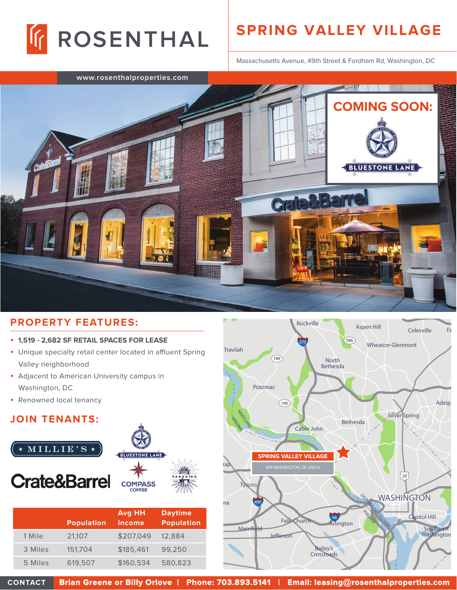

## **SPRING VALLEY VILLAGE**

Massachusetts Avenue, 49th Street & Fordham Rd, Washington, DC



## **PROPERTY FEATURES:**

- • **1,519 2,682 SF RETAIL SPACES FOR LEASE**
- Unique specialty retail center located in affluent Spring Valley neighborhood
- Adjacent to American University campus in Washington, DC
- Renowned local tenancy

## **JOIN TENANTS:**



|         | <b>Population</b> | <b>Avg HH</b><br>Income | <b>Daytime</b><br><b>Population</b> |
|---------|-------------------|-------------------------|-------------------------------------|
| 1 Mile  | 21,107            | \$207,049               | 12,884                              |
| 3 Miles | 151,704           | \$185,461               | 99,250                              |
| 5 Miles | 619,507           | \$160,534               | 580,823                             |



**CONTACT Brian Greene or Billy Orlove | Phone: 703.893.5141 | Email: leasing @rosenthalproperties.com osenthalproperties.com**